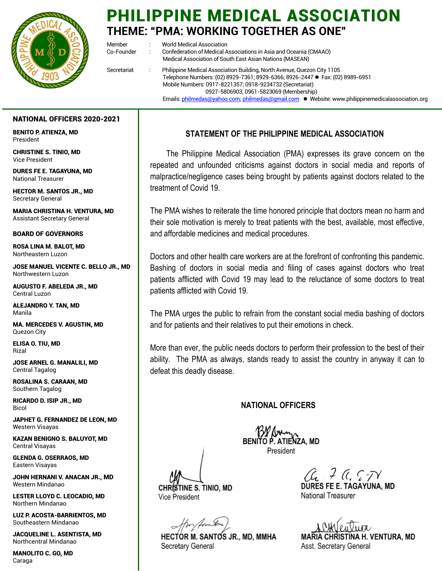

# PHILIPPINE MEDICAL ASSOCIATION **THEME: "PMA: WORKING TOGETHER AS ONE"**

Member : World Medical Association Co-Founder : Confederation of Medical Associations in Asia and Oceania (CMAAO) Medical Association of South East Asian Nations (MASEAN) Secretariat : Philippine Medical Association Building, North Avenue, Quezon City 1105 Telephone Numbers: (02) 8929-7361; 8929-6366; 8926-2447 ● Fax: (02) 8989-6951 Mobile Numbers: 0917-8221357; 0918-9234732 (Secretariat) 0927-5806903; 0961-5823069 (Membership) Emails: philmedas@yahoo.com; philmedas@gmail.com • Website: www.philippinemedicalassociation.org

#### NATIONAL OFFICERS 2020-2021

BENITO P. ATIENZA, MD President

CHRISTINE S. TINIO, MD Vice President

DURES FE E. TAGAYUNA, MD National Treasurer

HECTOR M. SANTOS JR., MD Secretary General

MARIA CHRISTINA H. VENTURA, MD Assistant Secretary General

BOARD OF GOVERNORS

ROSA LINA M. BALOT, MD Northeastern Luzon

JOSE MANUEL VICENTE C. BELLO JR., MD Northwestern Luzon

AUGUSTO F. ABELEDA JR., MD Central Luzon

ALEJANDRO Y. TAN, MD Manila

MA. MERCEDES V. AGUSTIN, MD Quezon City

ELISA O. TIU, MD Rizal

JOSE ARNEL G. MANALILI, MD Central Tagalog

ROSALINA S. CARAAN, MD Southern Tagalog

RICARDO D. ISIP JR., MD Bicol

JAPHET G. FERNANDEZ DE LEON, MD Western Visayas

KAZAN BENIGNO S. BALUYOT, MD Central Visayas

GLENDA G. OSERRAOS, MD Eastern Visayas

JOHN HERNANI V. ANACAN JR., MD Western Mindanao

LESTER LLOYD C. LEOCADIO, MD Northern Mindanao

LUZ P. ACOSTA-BARRIENTOS, MD Southeastern Mindanao

JACQUELINE L. ASENTISTA, MD Northcentral Mindanao

MANOLITO C. GO, MD Caraga

# **STATEMENT OF THE PHILIPPINE MEDICAL ASSOCIATION**

The Philippine Medical Association (PMA) expresses its grave concern on the repeated and unfounded criticisms against doctors in social media and reports of malpractice/negligence cases being brought by patients against doctors related to the treatment of Covid 19.

The PMA wishes to reiterate the time honored principle that doctors mean no harm and their sole motivation is merely to treat patients with the best, available, most effective, and affordable medicines and medical procedures.

Doctors and other health care workers are at the forefront of confronting this pandemic. Bashing of doctors in social media and filing of cases against doctors who treat patients afflicted with Covid 19 may lead to the reluctance of some doctors to treat patients afflicted with Covid 19.

The PMA urges the public to refrain from the constant social media bashing of doctors and for patients and their relatives to put their emotions in check.

More than ever, the public needs doctors to perform their profession to the best of their ability. The PMA as always, stands ready to assist the country in anyway it can to defeat this deadly disease.

## **NATIONAL OFFICERS**

13/ Am President

CHRISTINE S. TINIO, MD **Vice President** 

**HECTOR M. SANTOS JR., MD, MMHA Secretary General** 

 $\mathcal{C}_{\mathcal{C}}$   $\mathcal{F}$   $\mathcal{C}_{\mathcal{C}}$   $\mathcal{F}$   $\mathcal{F}$ <br>DURES FE E. TAGAYUNA, MD

**National Treasurer** 

**MARIA CHRISTINA H. VENTURA, MD** Asst. Secretary General